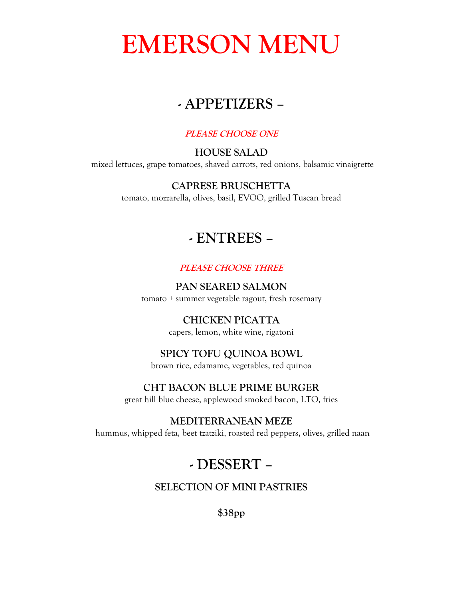# **EMERSON MENU**

# **- APPETIZERS –**

#### **PLEASE CHOOSE ONE**

#### **HOUSE SALAD** mixed lettuces, grape tomatoes, shaved carrots, red onions, balsamic vinaigrette

### **CAPRESE BRUSCHETTA**

tomato, mozzarella, olives, basil, EVOO, grilled Tuscan bread

# **- ENTREES –**

#### **PLEASE CHOOSE THREE**

**PAN SEARED SALMON**

tomato + summer vegetable ragout, fresh rosemary

# **CHICKEN PICATTA**

capers, lemon, white wine, rigatoni

## **SPICY TOFU QUINOA BOWL**

brown rice, edamame, vegetables, red quinoa

### **CHT BACON BLUE PRIME BURGER**

great hill blue cheese, applewood smoked bacon, LTO, fries

### **MEDITERRANEAN MEZE**

hummus, whipped feta, beet tzatziki, roasted red peppers, olives, grilled naan

# **- DESSERT –**

## **SELECTION OF MINI PASTRIES**

**\$38pp**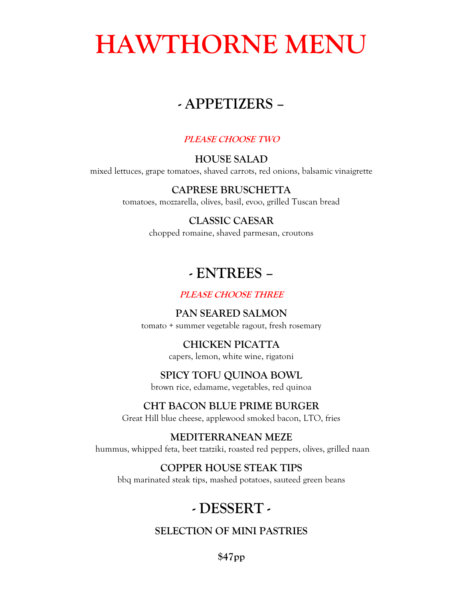# **HAWTHORNE MENU**

# **- APPETIZERS –**

### **PLEASE CHOOSE TWO**

## **HOUSE SALAD**

mixed lettuces, grape tomatoes, shaved carrots, red onions, balsamic vinaigrette

## **CAPRESE BRUSCHETTA**

tomatoes, mozzarella, olives, basil, evoo, grilled Tuscan bread

## **CLASSIC CAESAR**

chopped romaine, shaved parmesan, croutons

# **- ENTREES –**

## **PLEASE CHOOSE THREE**

# **PAN SEARED SALMON**

tomato + summer vegetable ragout, fresh rosemary

# **CHICKEN PICATTA**

capers, lemon, white wine, rigatoni

# **SPICY TOFU QUINOA BOWL**

brown rice, edamame, vegetables, red quinoa

## **CHT BACON BLUE PRIME BURGER**

Great Hill blue cheese, applewood smoked bacon, LTO, fries

#### **MEDITERRANEAN MEZE**  hummus, whipped feta, beet tzatziki, roasted red peppers, olives, grilled naan

# **COPPER HOUSE STEAK TIPS**

bbq marinated steak tips, mashed potatoes, sauteed green beans

# **- DESSERT -**

# **SELECTION OF MINI PASTRIES**

**\$47pp**